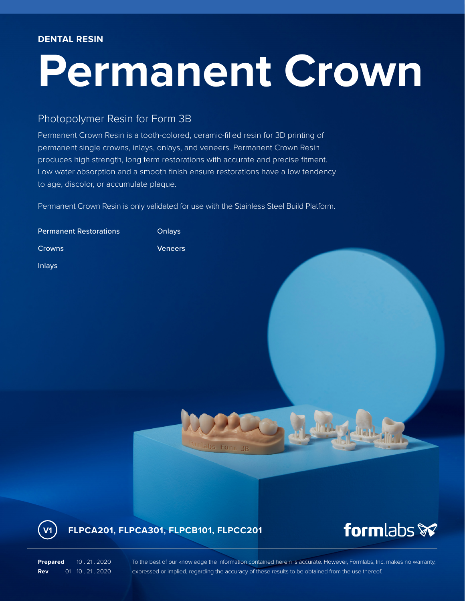## **Permanent Crown**

## Photopolymer Resin for Form 3B

Permanent Crown Resin is a tooth-colored, ceramic-filled resin for 3D printing of permanent single crowns, inlays, onlays, and veneers. Permanent Crown Resin produces high strength, long term restorations with accurate and precise fitment. Low water absorption and a smooth finish ensure restorations have a low tendency to age, discolor, or accumulate plaque.

Permanent Crown Resin is only validated for use with the Stainless Steel Build Platform.

| <b>Permanent Restorations</b> | Onlays                                                            |                             |
|-------------------------------|-------------------------------------------------------------------|-----------------------------|
| Crowns                        | Veneers                                                           |                             |
| <b>Inlays</b>                 |                                                                   |                             |
| V <sub>1</sub>                | <b>Formlabs Form 3B</b><br>FLPCA201, FLPCA301, FLPCB101, FLPCC201 | formlabs $\mathbf{\hat{x}}$ |

**Prepared** 10 . 21 . 2020 **Rev** 01 10 . 21 . 2020 To the best of our knowledge the information contained herein is accurate. However, Formlabs, Inc. makes no warranty, expressed or implied, regarding the accuracy of these results to be obtained from the use thereof.